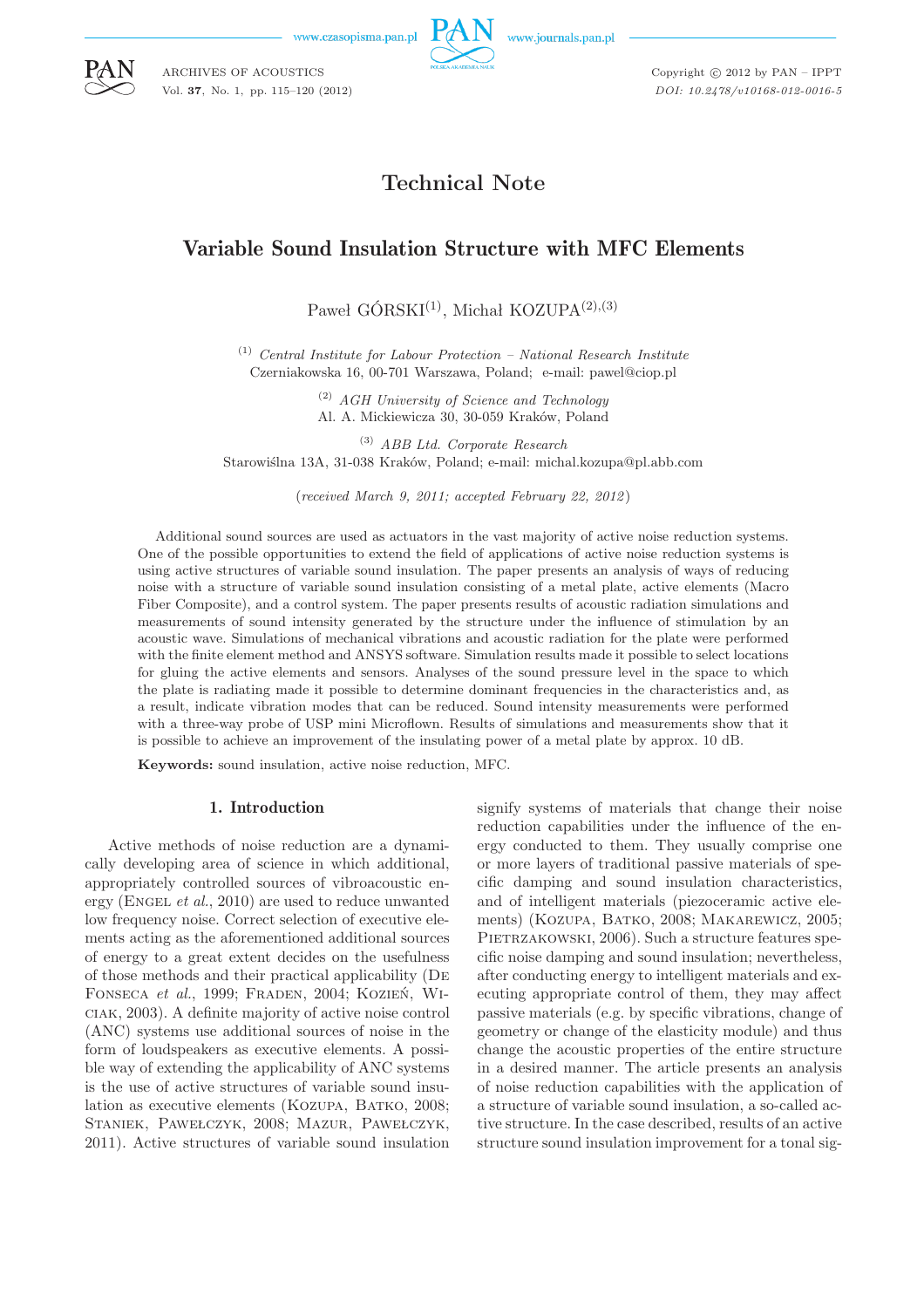www.czasopisma.pan.pl

ARCHIVES OF ACOUSTICS Vol. **37**, No. 1, pp. 115–120 (2012)



Copyright  $\odot$  2012 by PAN - IPPT *DOI: 10.2478/v10168-012-0016-5*

# **Technical Note**

## Variable Sound Insulation Structure with MFC Elements

Paweł GÓRSKI<sup>(1)</sup>, Michał KOZUPA<sup>(2),(3)</sup>

(1) *Central Institute for Labour Protection – National Research Institute* Czerniakowska 16, 00-701 Warszawa, Poland; e-mail: pawel@ciop.pl

> (2) *AGH University of Science and Technology* Al. A. Mickiewicza 30, 30-059 Kraków, Poland

(3) *ABB Ltd. Corporate Research* Starowiślna 13A, 31-038 Kraków, Poland; e-mail: michal.kozupa@pl.abb.com

(*received March 9, 2011; accepted February 22, 2012* )

Additional sound sources are used as actuators in the vast majority of active noise reduction systems. One of the possible opportunities to extend the field of applications of active noise reduction systems is using active structures of variable sound insulation. The paper presents an analysis of ways of reducing noise with a structure of variable sound insulation consisting of a metal plate, active elements (Macro Fiber Composite), and a control system. The paper presents results of acoustic radiation simulations and measurements of sound intensity generated by the structure under the influence of stimulation by an acoustic wave. Simulations of mechanical vibrations and acoustic radiation for the plate were performed with the finite element method and ANSYS software. Simulation results made it possible to select locations for gluing the active elements and sensors. Analyses of the sound pressure level in the space to which the plate is radiating made it possible to determine dominant frequencies in the characteristics and, as a result, indicate vibration modes that can be reduced. Sound intensity measurements were performed with a three-way probe of USP mini Microflown. Results of simulations and measurements show that it is possible to achieve an improvement of the insulating power of a metal plate by approx. 10 dB.

**Keywords:** sound insulation, active noise reduction, MFC.

#### 1. Introduction

Active methods of noise reduction are a dynamically developing area of science in which additional, appropriately controlled sources of vibroacoustic energy (ENGEL *et al.*, 2010) are used to reduce unwanted low frequency noise. Correct selection of executive elements acting as the aforementioned additional sources of energy to a great extent decides on the usefulness of those methods and their practical applicability (De Fonseca *et al.*, 1999; Fraden, 2004; Kozień, Wiciak, 2003). A definite majority of active noise control (ANC) systems use additional sources of noise in the form of loudspeakers as executive elements. A possible way of extending the applicability of ANC systems is the use of active structures of variable sound insulation as executive elements (KOZUPA, BATKO, 2008; Staniek, Pawełczyk, 2008; Mazur, Pawełczyk, 2011). Active structures of variable sound insulation signify systems of materials that change their noise reduction capabilities under the influence of the energy conducted to them. They usually comprise one or more layers of traditional passive materials of specific damping and sound insulation characteristics, and of intelligent materials (piezoceramic active elements) (KOZUPA, BATKO, 2008; MAKAREWICZ, 2005; PIETRZAKOWSKI, 2006). Such a structure features specific noise damping and sound insulation; nevertheless, after conducting energy to intelligent materials and executing appropriate control of them, they may affect passive materials (e.g. by specific vibrations, change of geometry or change of the elasticity module) and thus change the acoustic properties of the entire structure in a desired manner. The article presents an analysis of noise reduction capabilities with the application of a structure of variable sound insulation, a so-called active structure. In the case described, results of an active structure sound insulation improvement for a tonal sig-

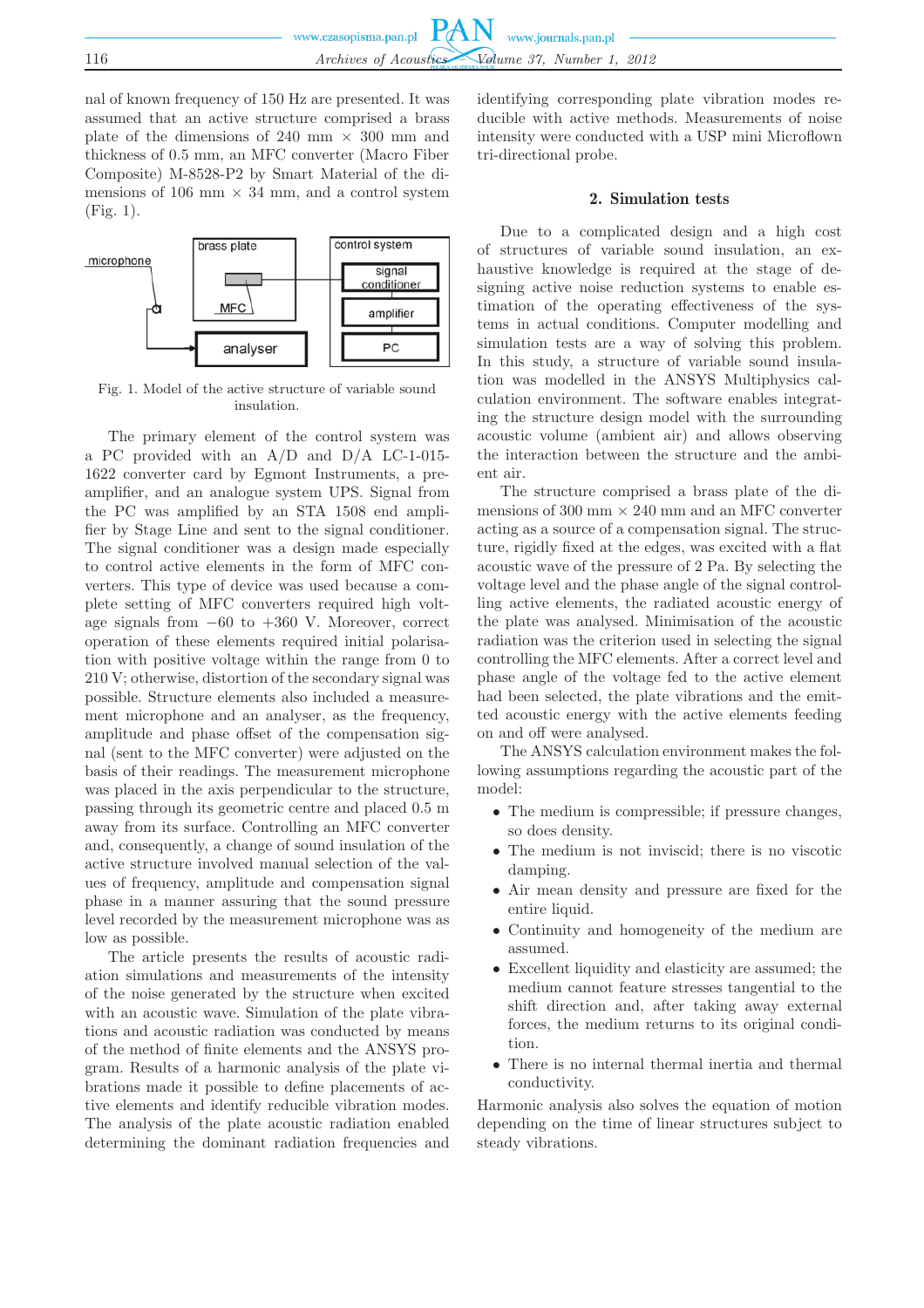nal of known frequency of 150 Hz are presented. It was assumed that an active structure comprised a brass plate of the dimensions of 240 mm  $\times$  300 mm and thickness of 0.5 mm, an MFC converter (Macro Fiber Composite) M-8528-P2 by Smart Material of the dimensions of 106 mm  $\times$  34 mm, and a control system (Fig. 1).



Fig. 1. Model of the active structure of variable sound insulation.

The primary element of the control system was a PC provided with an A/D and D/A LC-1-015- 1622 converter card by Egmont Instruments, a preamplifier, and an analogue system UPS. Signal from the PC was amplified by an STA 1508 end amplifier by Stage Line and sent to the signal conditioner. The signal conditioner was a design made especially to control active elements in the form of MFC converters. This type of device was used because a complete setting of MFC converters required high voltage signals from −60 to +360 V. Moreover, correct operation of these elements required initial polarisation with positive voltage within the range from 0 to 210 V; otherwise, distortion of the secondary signal was possible. Structure elements also included a measurement microphone and an analyser, as the frequency, amplitude and phase offset of the compensation signal (sent to the MFC converter) were adjusted on the basis of their readings. The measurement microphone was placed in the axis perpendicular to the structure, passing through its geometric centre and placed 0.5 m away from its surface. Controlling an MFC converter and, consequently, a change of sound insulation of the active structure involved manual selection of the values of frequency, amplitude and compensation signal phase in a manner assuring that the sound pressure level recorded by the measurement microphone was as low as possible.

The article presents the results of acoustic radiation simulations and measurements of the intensity of the noise generated by the structure when excited with an acoustic wave. Simulation of the plate vibrations and acoustic radiation was conducted by means of the method of finite elements and the ANSYS program. Results of a harmonic analysis of the plate vibrations made it possible to define placements of active elements and identify reducible vibration modes. The analysis of the plate acoustic radiation enabled determining the dominant radiation frequencies and

identifying corresponding plate vibration modes reducible with active methods. Measurements of noise intensity were conducted with a USP mini Microflown tri-directional probe.

#### 2. Simulation tests

Due to a complicated design and a high cost of structures of variable sound insulation, an exhaustive knowledge is required at the stage of designing active noise reduction systems to enable estimation of the operating effectiveness of the systems in actual conditions. Computer modelling and simulation tests are a way of solving this problem. In this study, a structure of variable sound insulation was modelled in the ANSYS Multiphysics calculation environment. The software enables integrating the structure design model with the surrounding acoustic volume (ambient air) and allows observing the interaction between the structure and the ambient air.

The structure comprised a brass plate of the dimensions of 300 mm  $\times$  240 mm and an MFC converter acting as a source of a compensation signal. The structure, rigidly fixed at the edges, was excited with a flat acoustic wave of the pressure of 2 Pa. By selecting the voltage level and the phase angle of the signal controlling active elements, the radiated acoustic energy of the plate was analysed. Minimisation of the acoustic radiation was the criterion used in selecting the signal controlling the MFC elements. After a correct level and phase angle of the voltage fed to the active element had been selected, the plate vibrations and the emitted acoustic energy with the active elements feeding on and off were analysed.

The ANSYS calculation environment makes the following assumptions regarding the acoustic part of the model:

- The medium is compressible; if pressure changes, so does density.
- The medium is not inviscid; there is no viscotic damping.
- Air mean density and pressure are fixed for the entire liquid.
- Continuity and homogeneity of the medium are assumed.
- Excellent liquidity and elasticity are assumed; the medium cannot feature stresses tangential to the shift direction and, after taking away external forces, the medium returns to its original condition.
- There is no internal thermal inertia and thermal conductivity.

Harmonic analysis also solves the equation of motion depending on the time of linear structures subject to steady vibrations.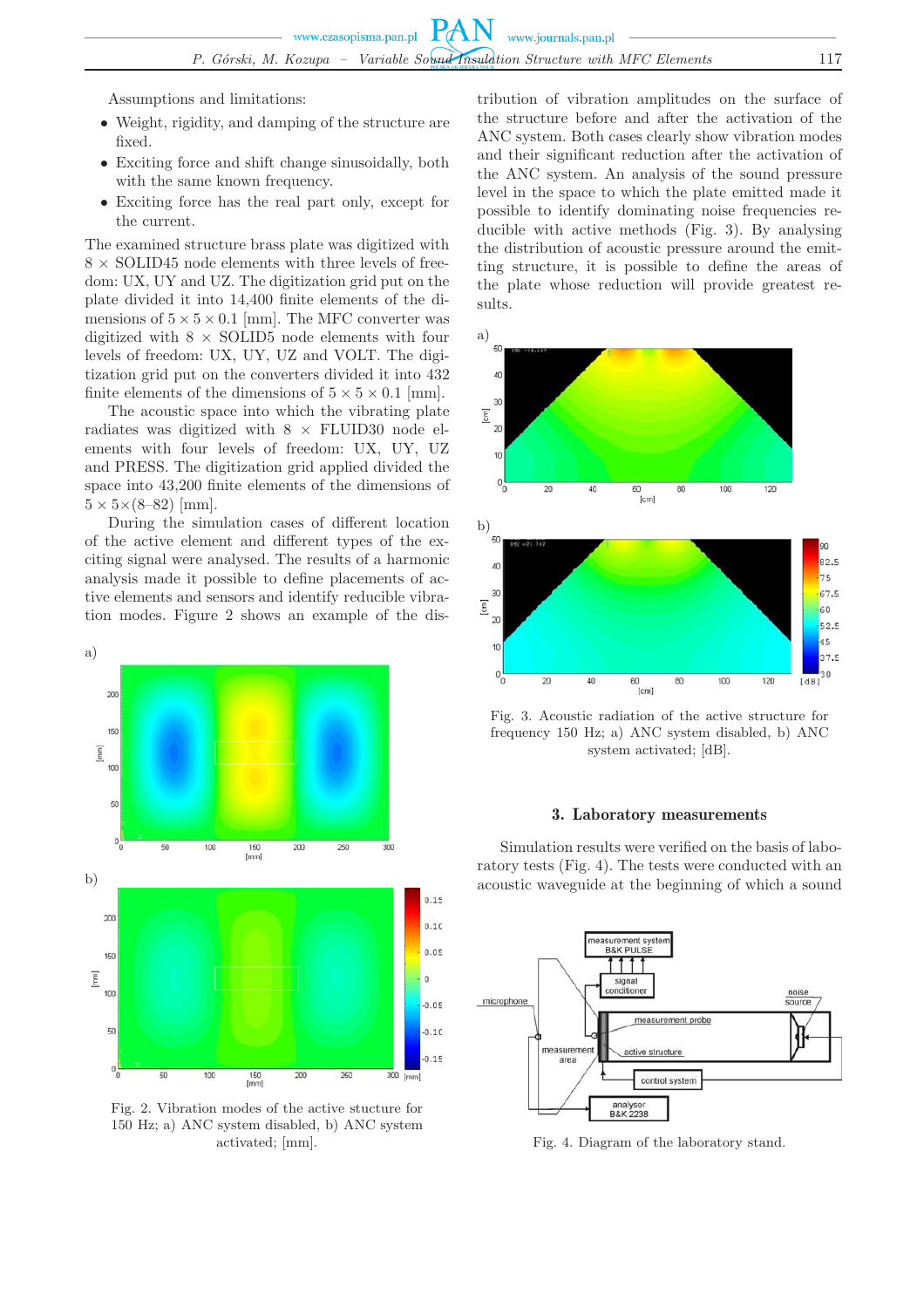Assumptions and limitations:

- Weight, rigidity, and damping of the structure are fixed.
- Exciting force and shift change sinusoidally, both with the same known frequency.
- Exciting force has the real part only, except for the current.

The examined structure brass plate was digitized with  $8 \times$  SOLID45 node elements with three levels of freedom: UX, UY and UZ. The digitization grid put on the plate divided it into 14,400 finite elements of the dimensions of  $5 \times 5 \times 0.1$  [mm]. The MFC converter was digitized with  $8 \times$  SOLID5 node elements with four levels of freedom: UX, UY, UZ and VOLT. The digitization grid put on the converters divided it into 432 finite elements of the dimensions of  $5 \times 5 \times 0.1$  [mm].

The acoustic space into which the vibrating plate radiates was digitized with  $8 \times$  FLUID30 node elements with four levels of freedom: UX, UY, UZ and PRESS. The digitization grid applied divided the space into 43,200 finite elements of the dimensions of  $5 \times 5 \times (8 - 82)$  [mm].

During the simulation cases of different location of the active element and different types of the exciting signal were analysed. The results of a harmonic analysis made it possible to define placements of active elements and sensors and identify reducible vibration modes. Figure 2 shows an example of the dis-



Fig. 2. Vibration modes of the active stucture for 150 Hz; a) ANC system disabled, b) ANC system activated; [mm].

tribution of vibration amplitudes on the surface of the structure before and after the activation of the ANC system. Both cases clearly show vibration modes and their significant reduction after the activation of the ANC system. An analysis of the sound pressure level in the space to which the plate emitted made it possible to identify dominating noise frequencies reducible with active methods (Fig. 3). By analysing the distribution of acoustic pressure around the emitting structure, it is possible to define the areas of the plate whose reduction will provide greatest results.



Fig. 3. Acoustic radiation of the active structure for frequency 150 Hz; a) ANC system disabled, b) ANC system activated; [dB].

#### 3. Laboratory measurements

Simulation results were verified on the basis of laboratory tests (Fig. 4). The tests were conducted with an acoustic waveguide at the beginning of which a sound



Fig. 4. Diagram of the laboratory stand.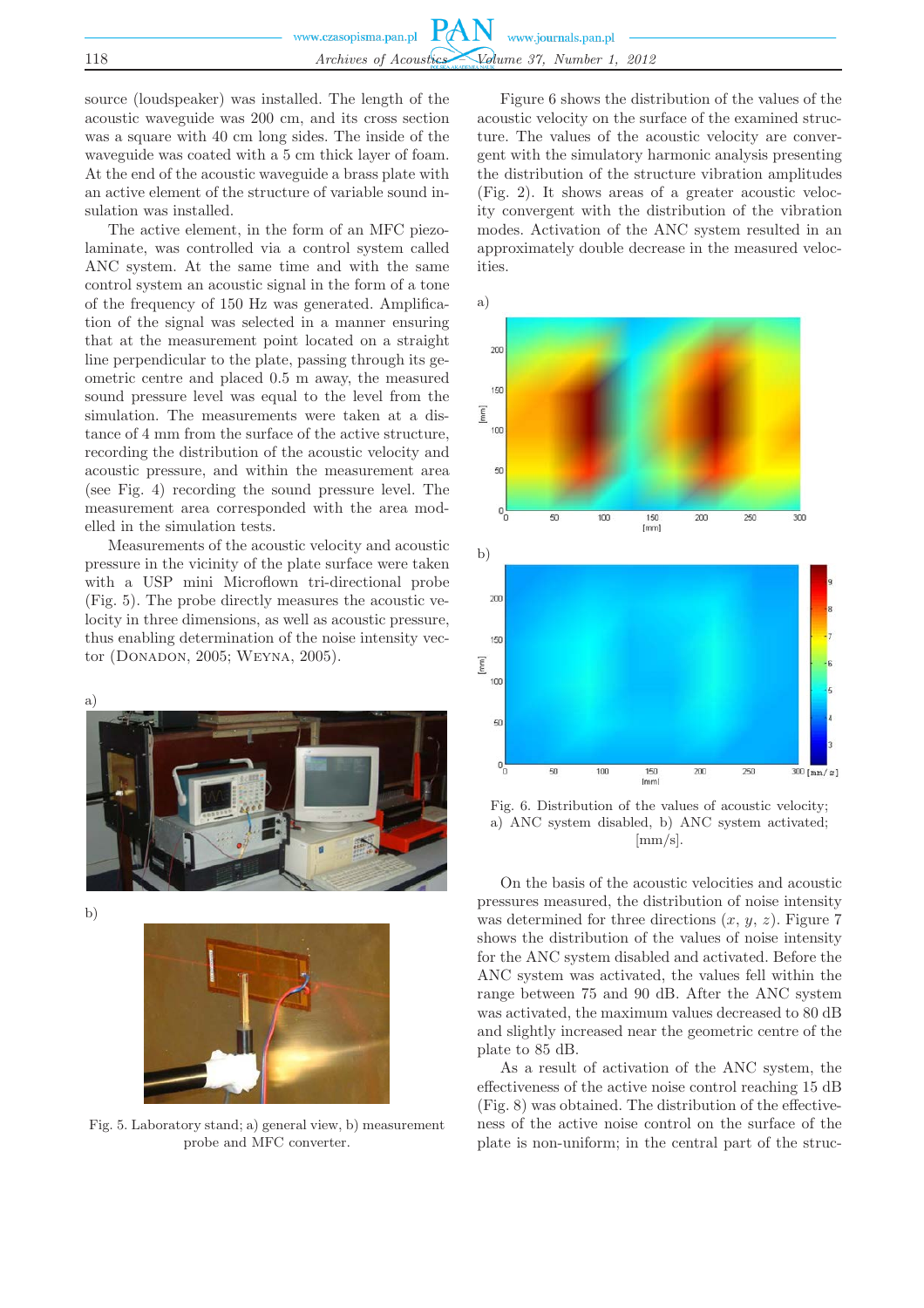source (loudspeaker) was installed. The length of the acoustic waveguide was 200 cm, and its cross section was a square with 40 cm long sides. The inside of the waveguide was coated with a 5 cm thick layer of foam. At the end of the acoustic waveguide a brass plate with an active element of the structure of variable sound insulation was installed.

The active element, in the form of an MFC piezolaminate, was controlled via a control system called ANC system. At the same time and with the same control system an acoustic signal in the form of a tone of the frequency of 150 Hz was generated. Amplification of the signal was selected in a manner ensuring that at the measurement point located on a straight line perpendicular to the plate, passing through its geometric centre and placed 0.5 m away, the measured sound pressure level was equal to the level from the simulation. The measurements were taken at a distance of 4 mm from the surface of the active structure, recording the distribution of the acoustic velocity and acoustic pressure, and within the measurement area (see Fig. 4) recording the sound pressure level. The measurement area corresponded with the area modelled in the simulation tests.

Measurements of the acoustic velocity and acoustic pressure in the vicinity of the plate surface were taken with a USP mini Microflown tri-directional probe (Fig. 5). The probe directly measures the acoustic velocity in three dimensions, as well as acoustic pressure, thus enabling determination of the noise intensity vector (Donadon, 2005; Weyna, 2005).



b)



Fig. 5. Laboratory stand; a) general view, b) measurement probe and MFC converter.

Figure 6 shows the distribution of the values of the acoustic velocity on the surface of the examined structure. The values of the acoustic velocity are convergent with the simulatory harmonic analysis presenting the distribution of the structure vibration amplitudes (Fig. 2). It shows areas of a greater acoustic velocity convergent with the distribution of the vibration modes. Activation of the ANC system resulted in an approximately double decrease in the measured velocities.



Fig. 6. Distribution of the values of acoustic velocity; a) ANC system disabled, b) ANC system activated;  $[mm/s]$ .

On the basis of the acoustic velocities and acoustic pressures measured, the distribution of noise intensity was determined for three directions  $(x, y, z)$ . Figure 7 shows the distribution of the values of noise intensity for the ANC system disabled and activated. Before the ANC system was activated, the values fell within the range between 75 and 90 dB. After the ANC system was activated, the maximum values decreased to 80 dB and slightly increased near the geometric centre of the plate to 85 dB.

As a result of activation of the ANC system, the effectiveness of the active noise control reaching 15 dB (Fig. 8) was obtained. The distribution of the effectiveness of the active noise control on the surface of the plate is non-uniform; in the central part of the struc-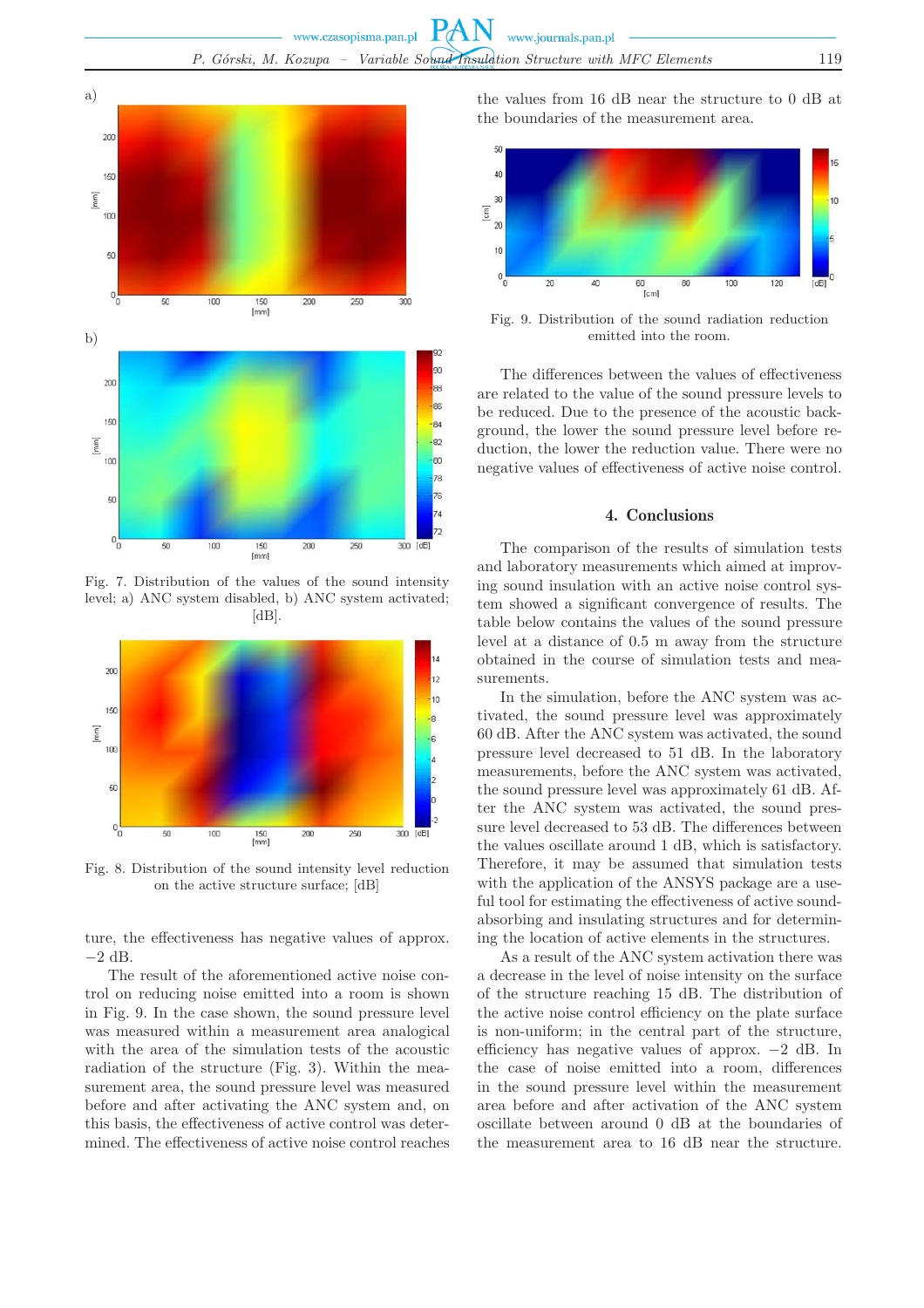

Fig. 7. Distribution of the values of the sound intensity level; a) ANC system disabled, b) ANC system activated;  $[dB]$ .



Fig. 8. Distribution of the sound intensity level reduction on the active structure surface; [dB]

ture, the effectiveness has negative values of approx. −2 dB.

The result of the aforementioned active noise control on reducing noise emitted into a room is shown in Fig. 9. In the case shown, the sound pressure level was measured within a measurement area analogical with the area of the simulation tests of the acoustic radiation of the structure (Fig. 3). Within the measurement area, the sound pressure level was measured before and after activating the ANC system and, on this basis, the effectiveness of active control was determined. The effectiveness of active noise control reaches the values from 16 dB near the structure to 0 dB at the boundaries of the measurement area.



Fig. 9. Distribution of the sound radiation reduction emitted into the room.

The differences between the values of effectiveness are related to the value of the sound pressure levels to be reduced. Due to the presence of the acoustic background, the lower the sound pressure level before reduction, the lower the reduction value. There were no negative values of effectiveness of active noise control.

### 4. Conclusions

The comparison of the results of simulation tests and laboratory measurements which aimed at improving sound insulation with an active noise control system showed a significant convergence of results. The table below contains the values of the sound pressure level at a distance of 0.5 m away from the structure obtained in the course of simulation tests and measurements.

In the simulation, before the ANC system was activated, the sound pressure level was approximately 60 dB. After the ANC system was activated, the sound pressure level decreased to 51 dB. In the laboratory measurements, before the ANC system was activated, the sound pressure level was approximately 61 dB. After the ANC system was activated, the sound pressure level decreased to 53 dB. The differences between the values oscillate around 1 dB, which is satisfactory. Therefore, it may be assumed that simulation tests with the application of the ANSYS package are a useful tool for estimating the effectiveness of active soundabsorbing and insulating structures and for determining the location of active elements in the structures.

As a result of the ANC system activation there was a decrease in the level of noise intensity on the surface of the structure reaching 15 dB. The distribution of the active noise control efficiency on the plate surface is non-uniform; in the central part of the structure, efficiency has negative values of approx. −2 dB. In the case of noise emitted into a room, differences in the sound pressure level within the measurement area before and after activation of the ANC system oscillate between around 0 dB at the boundaries of the measurement area to 16 dB near the structure.